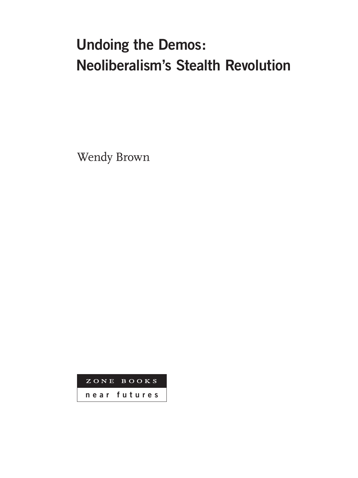## **Undoing the Demos: Neoliberalism's Stealth Revolution**

Wendy Brown

ZONE BOOKS **near futures**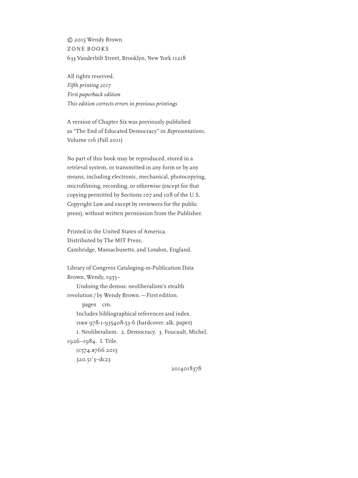© 2015 Wendy Brown ZONE BOOKS 633 Vanderbilt Street, Brooklyn, New York 11218

All rights reserved. *Fifth printing 2017 First paperback edition This edition corrects errors in previous printings*

A version of Chapter Six was previously published as "The End of Educated Democracy" in *Representations*, Volume 116 (Fall 2011)

No part of this book may be reproduced, stored in a retrieval system, or transmitted in any form or by any means, including electronic, mechanical, photocopying, microfilming, recording, or otherwise (except for that copying permitted by Sections 107 and 108 of the U.S. Copyright Law and except by reviewers for the public press), without written permission from the Publisher.

Printed in the United States of America. Distributed by The MIT Press, Cambridge, Massachusetts, and London, England.

Library of Congress Cataloging-in-Publication Data Brown, Wendy, 1955– Undoing the demos: neoliberalism's stealth revolution / by Wendy Brown. — First edition. pages cm. Includes bibliographical references and index. isbn 978-1-935408-53-6 (hardcover: alk. paper) 1. Neoliberalism. 2. Democracy. 3. Foucault, Michel, 1926–1984. I. Title. jc574.b766 2015 320.51'3–dc23

2014018378